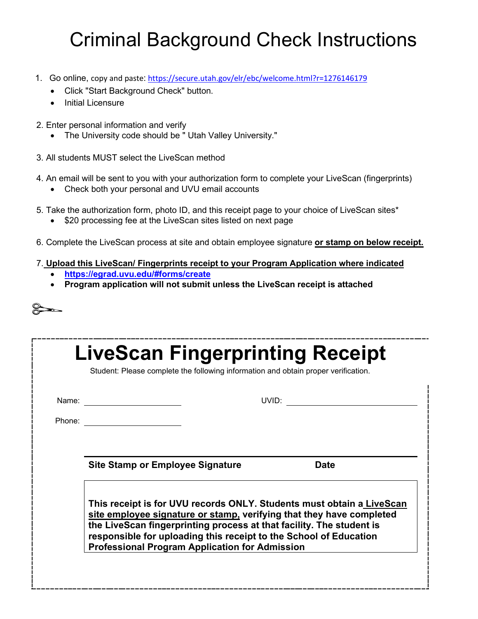## Criminal Background Check Instructions

- 1. Go online, copy and paste: <https://secure.utah.gov/elr/ebc/welcome.html?r=1276146179>
	- Click "Start Background Check" button.
	- Initial Licensure
- 2. Enter personal information and verify
	- The University code should be " Utah Valley University."
- 3. All students MUST select the LiveScan method
- 4. An email will be sent to you with your authorization form to complete your LiveScan (fingerprints)
	- Check both your personal and UVU email accounts
- 5. Take the authorization form, photo ID, and this receipt page to your choice of LiveScan sites\*
	- \$20 processing fee at the LiveScan sites listed on next page
- 6. Complete the LiveScan process at site and obtain employee signature **or stamp on below receipt.**

## 7. **Upload this LiveScan/ Fingerprints receipt to your Program Application where indicated**

- **<https://egrad.uvu.edu/#forms/create>**
- **Program application will not submit unless the LiveScan receipt is attached**

| I |  |
|---|--|
| í |  |
|   |  |

| Name:  |                                                                                                                                                                                                                                                                                                                                                     | UVID: The contract of the contract of the contract of the contract of the contract of the contract of the contract of the contract of the contract of the contract of the contract of the contract of the contract of the cont |  |
|--------|-----------------------------------------------------------------------------------------------------------------------------------------------------------------------------------------------------------------------------------------------------------------------------------------------------------------------------------------------------|--------------------------------------------------------------------------------------------------------------------------------------------------------------------------------------------------------------------------------|--|
| Phone: |                                                                                                                                                                                                                                                                                                                                                     |                                                                                                                                                                                                                                |  |
|        |                                                                                                                                                                                                                                                                                                                                                     |                                                                                                                                                                                                                                |  |
|        | <b>Site Stamp or Employee Signature</b>                                                                                                                                                                                                                                                                                                             | <b>Date</b>                                                                                                                                                                                                                    |  |
|        | This receipt is for UVU records ONLY. Students must obtain a LiveScan<br>site employee signature or stamp, verifying that they have completed<br>the LiveScan fingerprinting process at that facility. The student is<br>responsible for uploading this receipt to the School of Education<br><b>Professional Program Application for Admission</b> |                                                                                                                                                                                                                                |  |